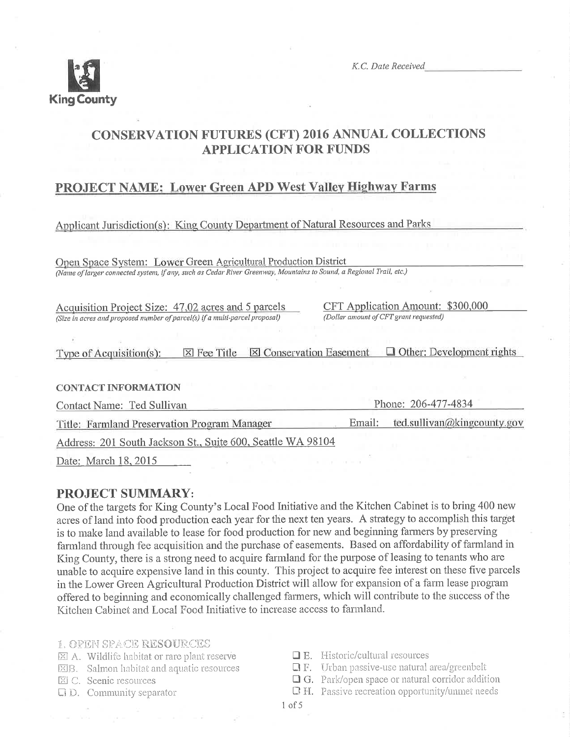

K.C. Date Received

# **CONSERVATION FUTURES (CFT) 2016 ANNUAL COLLECTIONS APPLICATION FOR FUNDS**

# PROJECT NAME: Lower Green APD West Valley Highway Farms

# Applicant Jurisdiction(s): King County Department of Natural Resources and Parks

Open Space System: Lower Green Agricultural Production District (Name of larger connected system, if any, such as Cedar River Greenway, Mountains to Sound, a Regional Trail, etc.)

Acquisition Project Size: 47.02 acres and 5 parcels (Size in acres and proposed number of parcel(s) if a multi-parcel proposal)

CFT Application Amount: \$300,000 (Dollar amount of CFT grant requested)

| Type of Acquisition $(s)$ : | $\boxtimes$ Fee Title $\boxtimes$ Conservation Easement | $\Box$ Other: Development rights |
|-----------------------------|---------------------------------------------------------|----------------------------------|
|                             |                                                         |                                  |

#### **CONTACT INFORMATION**

Contact Name: Ted Sullivan

Phone: 206-477-4834

Email: ted.sullivan@kingcounty.gov Title: Farmland Preservation Program Manager

Address: 201 South Jackson St., Suite 600, Seattle WA 98104

Date: March 18, 2015

## **PROJECT SUMMARY:**

One of the targets for King County's Local Food Initiative and the Kitchen Cabinet is to bring 400 new acres of land into food production each year for the next ten years. A strategy to accomplish this target is to make land available to lease for food production for new and beginning farmers by preserving farmland through fee acquisition and the purchase of easements. Based on affordability of farmland in King County, there is a strong need to acquire farmland for the purpose of leasing to tenants who are unable to acquire expensive land in this county. This project to acquire fee interest on these five parcels in the Lower Green Agricultural Production District will allow for expansion of a farm lease program offered to beginning and economically challenged farmers, which will contribute to the success of the Kitchen Cabinet and Local Food Initiative to increase access to farmland.

#### **1. OPEN SPACE RESOURCES**

- X A. Wildlife habitat or rare plant reserve
- **EB.** Salmon habitat and aquatic resources
- 区 C. Scenic resources
- $\Box$   $D.$  Community separator
- $\Box$  E. Historic/cultural resources
- $\Box$  F. Urban passive-use natural area/greenbelt
- **O** G. Park/open space or natural corridor addition
- Q H. Passive recreation opportunity/unmet needs
- $1$  of  $5$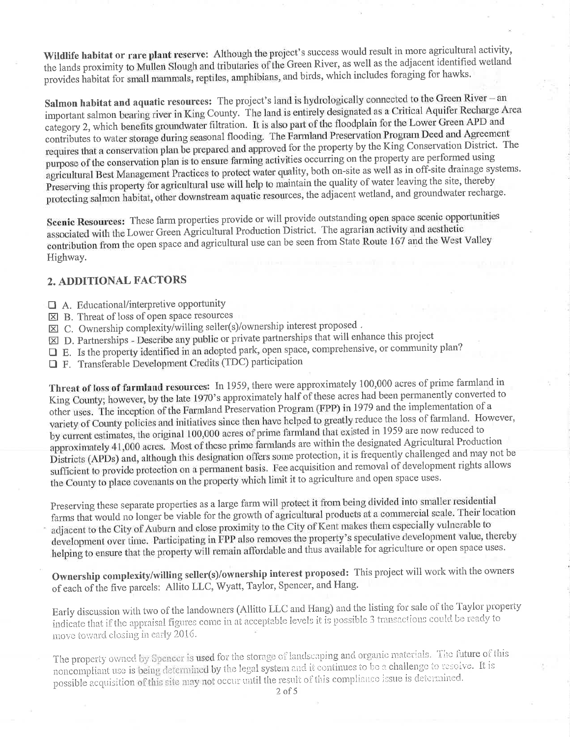Wildlife habitat or rare plant reserve: Although the project's success would result in more agricultural activity, the lands proximity to Mullen Slough and tributaries of the Green River, as well as the adjacent identified wetland provides habitat for small mammals, reptiles, amphibians, and birds, which includes foraging for hawks.

Salmon habitat and aquatic resources: The project's land is hydrologically connected to the Green River - an important salmon bearing river in King County. The land is entirely designated as a Critical Aquifer Recharge Area category 2, which benefits groundwater filtration. It is also part of the floodplain for the Lower Green APD and contributes to water storage during seasonal flooding. The Farmland Preservation Program Deed and Agreement requires that a conservation plan be prepared and approved for the property by the King Conservation District. The purpose of the conservation plan is to ensure farming activities occurring on the property are performed using agricultural Best Management Practices to protect water quality, both on-site as well as in off-site drainage systems. Preserving this property for agricultural use will help to maintain the quality of water leaving the site, thereby protecting salmon habitat, other downstream aquatic resources, the adjacent wetland, and groundwater recharge.

Scenic Resources: These farm properties provide or will provide outstanding open space scenic opportunities associated with the Lower Green Agricultural Production District. The agrarian activity and aesthetic contribution from the open space and agricultural use can be seen from State Route 167 and the West Valley Highway.

## 2. ADDITIONAL FACTORS

- $\Box$  A. Educational/interpretive opportunity
- $\boxtimes$  B. Threat of loss of open space resources
- $\boxtimes$  C. Ownership complexity/willing seller(s)/ownership interest proposed.
- [X] D. Partnerships Describe any public or private partnerships that will enhance this project
- E. Is the property identified in an adopted park, open space, comprehensive, or community plan?
- **I** F. Transferable Development Credits (TDC) participation

Threat of loss of farmland resources: In 1959, there were approximately 100,000 acres of prime farmland in King County; however, by the late 1970's approximately half of these acres had been permanently converted to other uses. The inception of the Farmland Preservation Program (FPP) in 1979 and the implementation of a variety of County policies and initiatives since then have helped to greatly reduce the loss of farmland. However, by current estimates, the original 100,000 acres of prime farmland that existed in 1959 are now reduced to approximately 41,000 acres. Most of these prime farmlands are within the designated Agricultural Production Districts (APDs) and, although this designation offers some protection, it is frequently challenged and may not be sufficient to provide protection on a permanent basis. Fee acquisition and removal of development rights allows the County to place covenants on the property which limit it to agriculture and open space uses.

Preserving these separate properties as a large farm will protect it from being divided into smaller residential farms that would no longer be viable for the growth of agricultural products at a commercial scale. Their location adjacent to the City of Auburn and close proximity to the City of Kent makes them especially vulnerable to development over time. Participating in FPP also removes the property's speculative development value, thereby helping to ensure that the property will remain affordable and thus available for agriculture or open space uses.

Ownership complexity/willing seller(s)/ownership interest proposed: This project will work with the owners of each of the five parcels: Allito LLC, Wyatt, Taylor, Spencer, and Hang.

Early discussion with two of the landowners (Allitto LLC and Hang) and the listing for sale of the Taylor property indicate that if the appraisal figures come in at acceptable levels it is possible 3 transactions could be ready to move toward closing in early 2016.

The property owned by Spencer is used for the storage of landscaping and organic materials. The future of this noncompliant use is being determined by the legal system and it continues to be a challenge to resolve. It is possible acquisition of this site may not occur until the result of this compliance issue is determined.

 $2$  of  $5$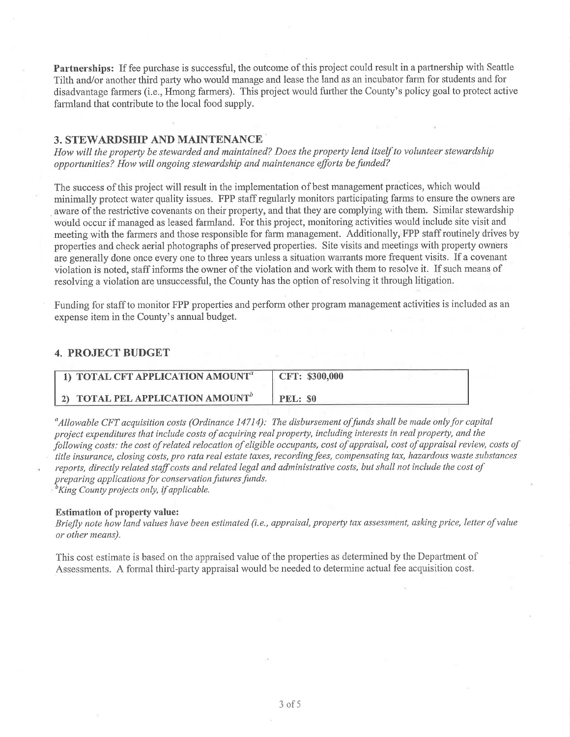**Partnerships:** If fee purchase is successful, the outcome of this project could result in a partnership with Seattle Tilth and/or another third party who would manage and lease the land as an incubator farm for students and for disadvantage farmers (i.e., Hmong farmers). This project would further the County's policy goal to protect active farmland that contribute to the local food supply.

### **3. STEWARDSHIP AND MAINTENANCE**

How will the property be stewarded and maintained? Does the property lend itself to volunteer stewardship opportunities? How will ongoing stewardship and maintenance efforts be funded?

The success of this project will result in the implementation of best management practices, which would minimally protect water quality issues. FPP staff regularly monitors participating farms to ensure the owners are aware of the restrictive covenants on their property, and that they are complying with them. Similar stewardship would occur if managed as leased farmland. For this project, monitoring activities would include site visit and meeting with the farmers and those responsible for farm management. Additionally, FPP staff routinely drives by properties and check aerial photographs of preserved properties. Site visits and meetings with property owners are generally done once every one to three years unless a situation warrants more frequent visits. If a covenant violation is noted, staff informs the owner of the violation and work with them to resolve it. If such means of resolving a violation are unsuccessful, the County has the option of resolving it through litigation.

Funding for staff to monitor FPP properties and perform other program management activities is included as an expense item in the County's annual budget.

## **4. PROJECT BUDGET**

| 1) TOTAL CFT APPLICATION AMOUNT <sup>®</sup>          | CFT: \$300,000 |
|-------------------------------------------------------|----------------|
| <b>4 2) TOTAL PEL APPLICATION AMOUNT</b> <sup>b</sup> | PEL: \$0       |

 $^a$ Allowable CFT acquisition costs (Ordinance 14714): The disbursement of funds shall be made only for capital project expenditures that include costs of acquiring real property, including interests in real property, and the following costs: the cost of related relocation of eligible occupants, cost of appraisal, cost of appraisal review, costs of title insurance, closing costs, pro rata real estate taxes, recording fees, compensating tax, hazardous waste substances reports, directly related staff costs and related legal and administrative costs, but shall not include the cost of preparing applications for conservation futures funds.

 ${}^{\text{b}}$ King County projects only, if applicable.

#### **Estimation of property value:**

Briefly note how land values have been estimated (i.e., appraisal, property tax assessment, asking price, letter of value or other means).

This cost estimate is based on the appraised value of the properties as determined by the Department of Assessments. A formal third-party appraisal would be needed to determine actual fee acquisition cost.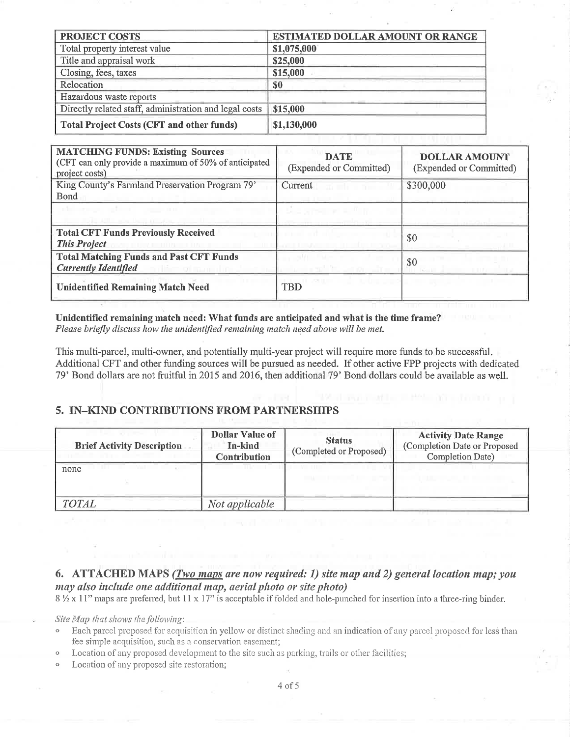| <b>PROJECT COSTS</b>                                   | <b>ESTIMATED DOLLAR AMOUNT OR RANGE</b> |  |  |
|--------------------------------------------------------|-----------------------------------------|--|--|
| Total property interest value                          | \$1,075,000                             |  |  |
| Title and appraisal work                               | \$25,000                                |  |  |
| Closing, fees, taxes                                   | \$15,000                                |  |  |
| Relocation                                             | \$0                                     |  |  |
| Hazardous waste reports                                |                                         |  |  |
| Directly related staff, administration and legal costs | \$15,000                                |  |  |
| <b>Total Project Costs (CFT and other funds)</b>       | \$1,130,000                             |  |  |

| <b>MATCHING FUNDS: Existing Sources</b><br>(CFT can only provide a maximum of 50% of anticipated<br>project costs) | <b>DATE</b><br>(Expended or Committed) | <b>DOLLAR AMOUNT</b><br>(Expended or Committed) |
|--------------------------------------------------------------------------------------------------------------------|----------------------------------------|-------------------------------------------------|
| King County's Farmland Preservation Program 79'<br><b>B</b> ond                                                    | Current                                | \$300,000                                       |
| administrator and more<br>All I was the complete.                                                                  |                                        |                                                 |
| <b>Total CFT Funds Previously Received</b><br><b>This Project</b>                                                  |                                        | \$0                                             |
| <b>Total Matching Funds and Past CFT Funds</b><br><b>Currently Identified</b>                                      | $-1/1$                                 | \$0                                             |
| <b>Unidentified Remaining Match Need</b>                                                                           | L II vall<br><b>TBD</b>                |                                                 |

Unidentified remaining match need: What funds are anticipated and what is the time frame? Please briefly discuss how the unidentified remaining match need above will be met.

This multi-parcel, multi-owner, and potentially multi-year project will require more funds to be successful. Additional CFT and other funding sources will be pursued as needed. If other active FPP projects with dedicated 79' Bond dollars are not fruitful in 2015 and 2016, then additional 79' Bond dollars could be available as well.

### 5. IN-KIND CONTRIBUTIONS FROM PARTNERSHIPS

| <b>Brief Activity Description</b> | <b>Dollar Value of</b><br>In-kind<br><b>Contribution</b> | <b>Status</b><br>(Completed or Proposed) | <b>Activity Date Range</b><br>(Completion Date or Proposed<br>Completion Date) |
|-----------------------------------|----------------------------------------------------------|------------------------------------------|--------------------------------------------------------------------------------|
| none                              |                                                          |                                          |                                                                                |
| <b>TOTAL</b>                      | Not applicable                                           |                                          |                                                                                |

# 6. ATTACHED MAPS (Two maps are now required: 1) site map and 2) general location map; you may also include one additional map, aerial photo or site photo)

8 1/2 x 11" maps are preferred, but 11 x 17" is acceptable if folded and hole-punched for insertion into a three-ring binder.

Site Map that shows the following:

- Each parcel proposed for acquisition in yellow or distinct shading and an indication of any parcel proposed for less than fee simple acquisition, such as a conservation easement;
- Location of any proposed development to the site such as parking, trails or other facilities;
- Location of any proposed site restoration;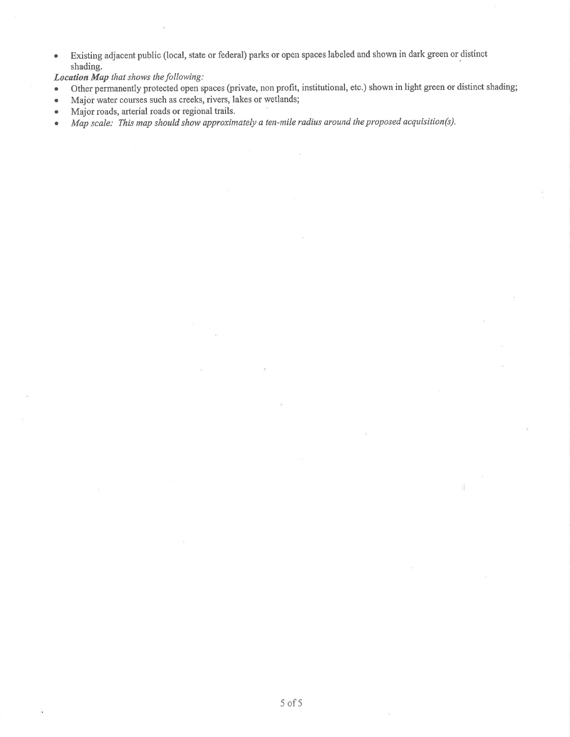Existing adjacent public (local, state or federal) parks or open spaces labeled and shown in dark green or distinct  $\bullet$ shading.

Location Map that shows the following:

- Other permanently protected open spaces (private, non profit, institutional, etc.) shown in light green or distinct shading;  $\bullet$
- Major water courses such as creeks, rivers, lakes or wetlands;  $\bullet$
- Major roads, arterial roads or regional trails.  $\bullet$
- Map scale: This map should show approximately a ten-mile radius around the proposed acquisition(s).  $\bullet$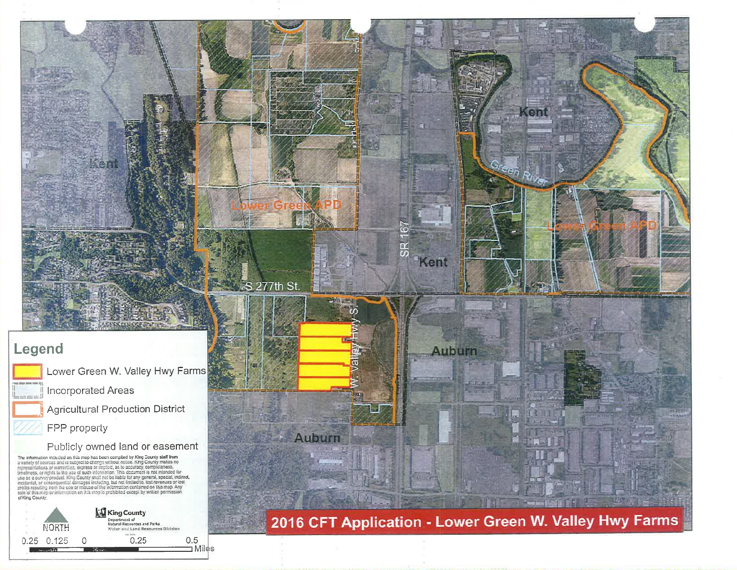